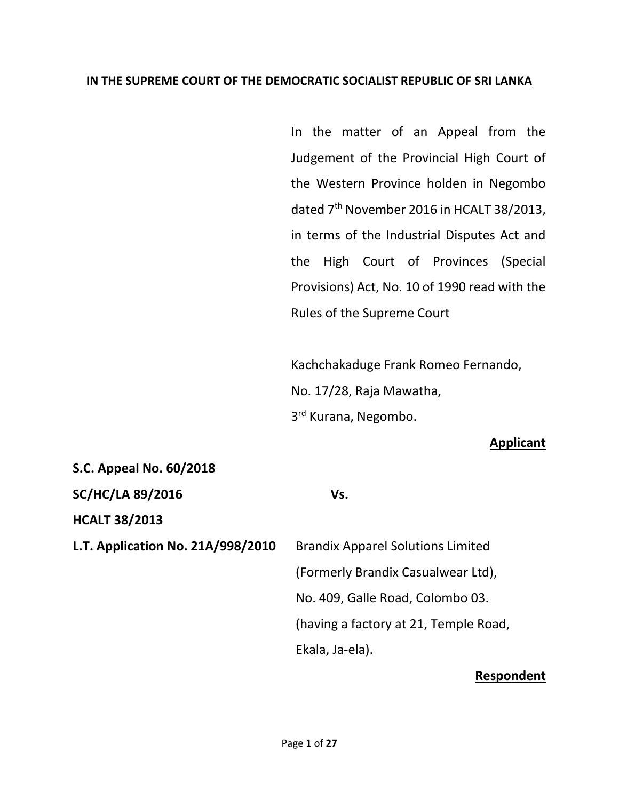#### **IN THE SUPREME COURT OF THE DEMOCRATIC SOCIALIST REPUBLIC OF SRI LANKA**

In the matter of an Appeal from the Judgement of the Provincial High Court of the Western Province holden in Negombo dated 7<sup>th</sup> November 2016 in HCALT 38/2013, in terms of the Industrial Disputes Act and the High Court of Provinces (Special Provisions) Act, No. 10 of 1990 read with the Rules of the Supreme Court

Kachchakaduge Frank Romeo Fernando, No. 17/28, Raja Mawatha, 3<sup>rd</sup> Kurana, Negombo.

#### **Applicant**

| S.C. Appeal No. 60/2018           |                                          |
|-----------------------------------|------------------------------------------|
| <b>SC/HC/LA 89/2016</b>           | Vs.                                      |
| <b>HCALT 38/2013</b>              |                                          |
| L.T. Application No. 21A/998/2010 | <b>Brandix Apparel Solutions Limited</b> |
|                                   | (Formerly Brandix Casualwear Ltd),       |
|                                   | No. 409, Galle Road, Colombo 03.         |
|                                   | (having a factory at 21, Temple Road,    |
|                                   | Ekala, Ja-ela).                          |
|                                   |                                          |

#### **Respondent**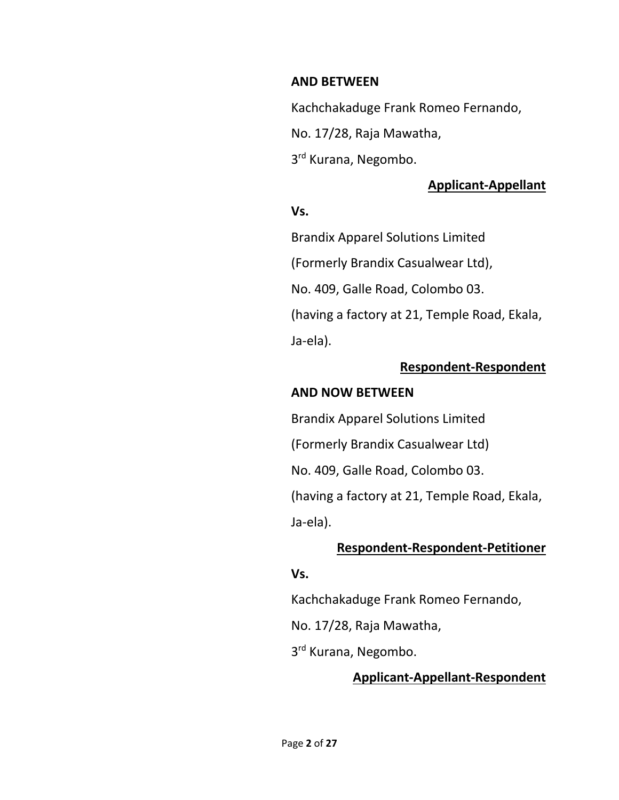#### **AND BETWEEN**

Kachchakaduge Frank Romeo Fernando,

No. 17/28, Raja Mawatha,

3<sup>rd</sup> Kurana, Negombo.

# **Applicant-Appellant**

### **Vs.**

Brandix Apparel Solutions Limited

(Formerly Brandix Casualwear Ltd),

No. 409, Galle Road, Colombo 03.

(having a factory at 21, Temple Road, Ekala, Ja-ela).

# **Respondent-Respondent**

### **AND NOW BETWEEN**

Brandix Apparel Solutions Limited

(Formerly Brandix Casualwear Ltd)

No. 409, Galle Road, Colombo 03.

(having a factory at 21, Temple Road, Ekala, Ja-ela).

### **Respondent-Respondent-Petitioner**

#### **Vs.**

Kachchakaduge Frank Romeo Fernando,

No. 17/28, Raja Mawatha,

3<sup>rd</sup> Kurana, Negombo.

# **Applicant-Appellant-Respondent**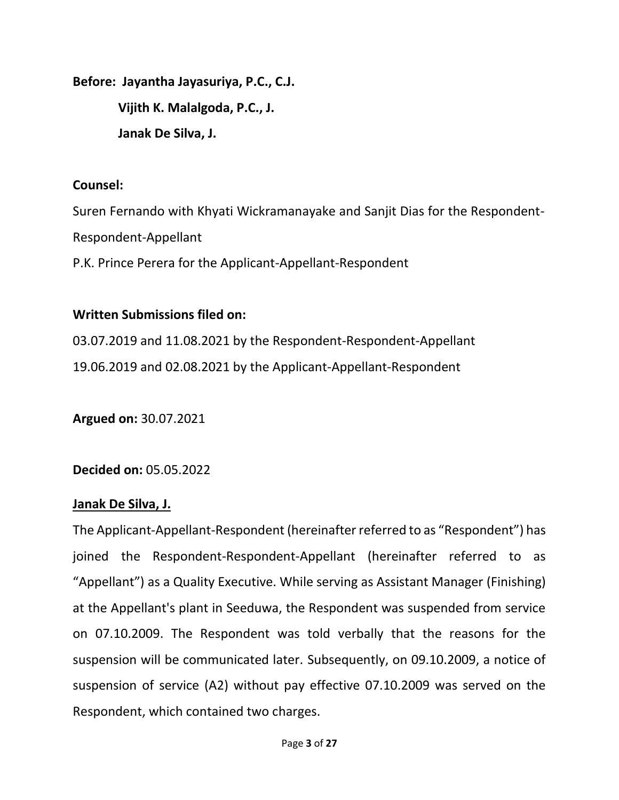**Before: Jayantha Jayasuriya, P.C., C.J. Vijith K. Malalgoda, P.C., J. Janak De Silva, J.**

### **Counsel:**

Suren Fernando with Khyati Wickramanayake and Sanjit Dias for the Respondent-Respondent-Appellant P.K. Prince Perera for the Applicant-Appellant-Respondent

### **Written Submissions filed on:**

03.07.2019 and 11.08.2021 by the Respondent-Respondent-Appellant 19.06.2019 and 02.08.2021 by the Applicant-Appellant-Respondent

**Argued on:** 30.07.2021

**Decided on:** 05.05.2022

### **Janak De Silva, J.**

The Applicant-Appellant-Respondent (hereinafter referred to as "Respondent") has joined the Respondent-Respondent-Appellant (hereinafter referred to as "Appellant") as a Quality Executive. While serving as Assistant Manager (Finishing) at the Appellant's plant in Seeduwa, the Respondent was suspended from service on 07.10.2009. The Respondent was told verbally that the reasons for the suspension will be communicated later. Subsequently, on 09.10.2009, a notice of suspension of service (A2) without pay effective 07.10.2009 was served on the Respondent, which contained two charges.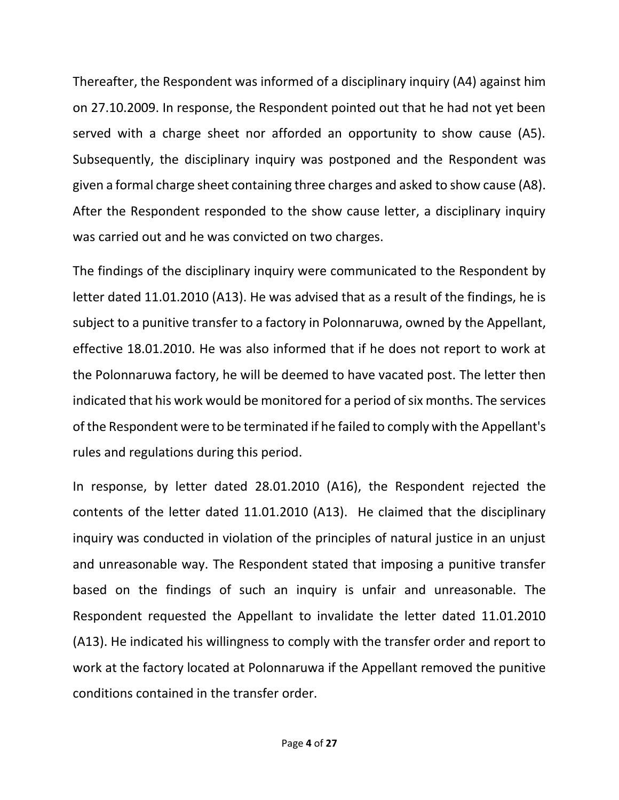Thereafter, the Respondent was informed of a disciplinary inquiry (A4) against him on 27.10.2009. In response, the Respondent pointed out that he had not yet been served with a charge sheet nor afforded an opportunity to show cause (A5). Subsequently, the disciplinary inquiry was postponed and the Respondent was given a formal charge sheet containing three charges and asked to show cause (A8). After the Respondent responded to the show cause letter, a disciplinary inquiry was carried out and he was convicted on two charges.

The findings of the disciplinary inquiry were communicated to the Respondent by letter dated 11.01.2010 (A13). He was advised that as a result of the findings, he is subject to a punitive transfer to a factory in Polonnaruwa, owned by the Appellant, effective 18.01.2010. He was also informed that if he does not report to work at the Polonnaruwa factory, he will be deemed to have vacated post. The letter then indicated that his work would be monitored for a period of six months. The services of the Respondent were to be terminated if he failed to comply with the Appellant's rules and regulations during this period.

In response, by letter dated 28.01.2010 (A16), the Respondent rejected the contents of the letter dated 11.01.2010 (A13). He claimed that the disciplinary inquiry was conducted in violation of the principles of natural justice in an unjust and unreasonable way. The Respondent stated that imposing a punitive transfer based on the findings of such an inquiry is unfair and unreasonable. The Respondent requested the Appellant to invalidate the letter dated 11.01.2010 (A13). He indicated his willingness to comply with the transfer order and report to work at the factory located at Polonnaruwa if the Appellant removed the punitive conditions contained in the transfer order.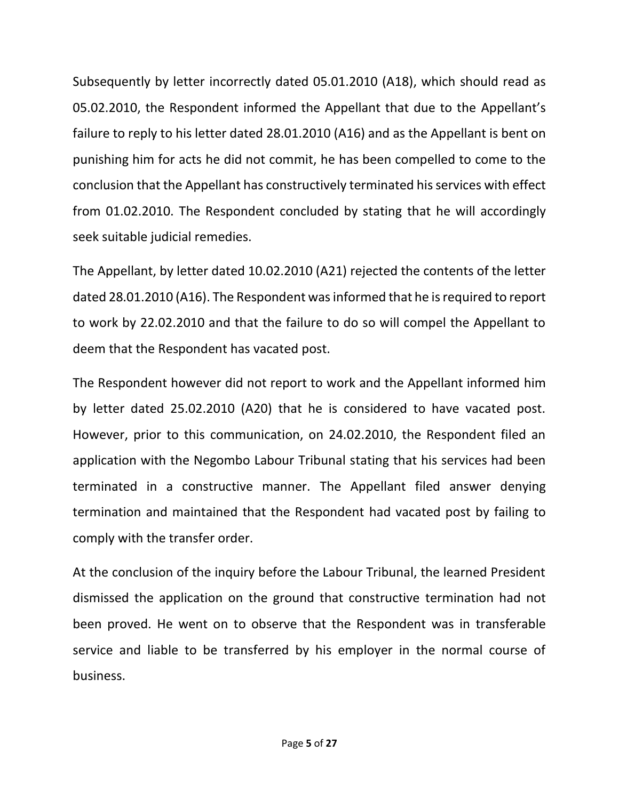Subsequently by letter incorrectly dated 05.01.2010 (A18), which should read as 05.02.2010, the Respondent informed the Appellant that due to the Appellant's failure to reply to his letter dated 28.01.2010 (A16) and as the Appellant is bent on punishing him for acts he did not commit, he has been compelled to come to the conclusion that the Appellant has constructively terminated his services with effect from 01.02.2010. The Respondent concluded by stating that he will accordingly seek suitable judicial remedies.

The Appellant, by letter dated 10.02.2010 (A21) rejected the contents of the letter dated 28.01.2010 (A16). The Respondent was informed that he is required to report to work by 22.02.2010 and that the failure to do so will compel the Appellant to deem that the Respondent has vacated post.

The Respondent however did not report to work and the Appellant informed him by letter dated 25.02.2010 (A20) that he is considered to have vacated post. However, prior to this communication, on 24.02.2010, the Respondent filed an application with the Negombo Labour Tribunal stating that his services had been terminated in a constructive manner. The Appellant filed answer denying termination and maintained that the Respondent had vacated post by failing to comply with the transfer order.

At the conclusion of the inquiry before the Labour Tribunal, the learned President dismissed the application on the ground that constructive termination had not been proved. He went on to observe that the Respondent was in transferable service and liable to be transferred by his employer in the normal course of business.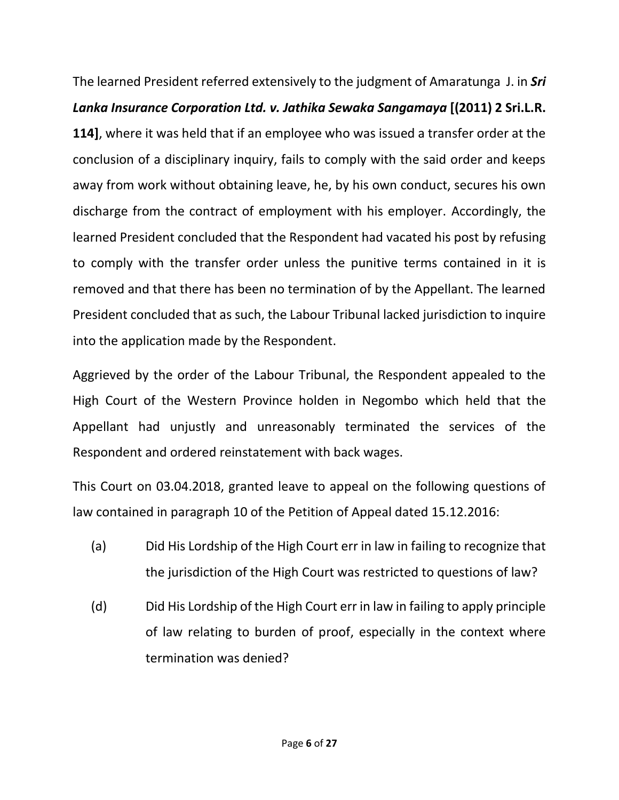The learned President referred extensively to the judgment of Amaratunga J. in *Sri Lanka Insurance Corporation Ltd. v. Jathika Sewaka Sangamaya* **[(2011) 2 Sri.L.R. 114]**, where it was held that if an employee who was issued a transfer order at the conclusion of a disciplinary inquiry, fails to comply with the said order and keeps away from work without obtaining leave, he, by his own conduct, secures his own discharge from the contract of employment with his employer. Accordingly, the learned President concluded that the Respondent had vacated his post by refusing to comply with the transfer order unless the punitive terms contained in it is removed and that there has been no termination of by the Appellant. The learned President concluded that as such, the Labour Tribunal lacked jurisdiction to inquire into the application made by the Respondent.

Aggrieved by the order of the Labour Tribunal, the Respondent appealed to the High Court of the Western Province holden in Negombo which held that the Appellant had unjustly and unreasonably terminated the services of the Respondent and ordered reinstatement with back wages.

This Court on 03.04.2018, granted leave to appeal on the following questions of law contained in paragraph 10 of the Petition of Appeal dated 15.12.2016:

- (a) Did His Lordship of the High Court err in law in failing to recognize that the jurisdiction of the High Court was restricted to questions of law?
- (d) Did His Lordship of the High Court err in law in failing to apply principle of law relating to burden of proof, especially in the context where termination was denied?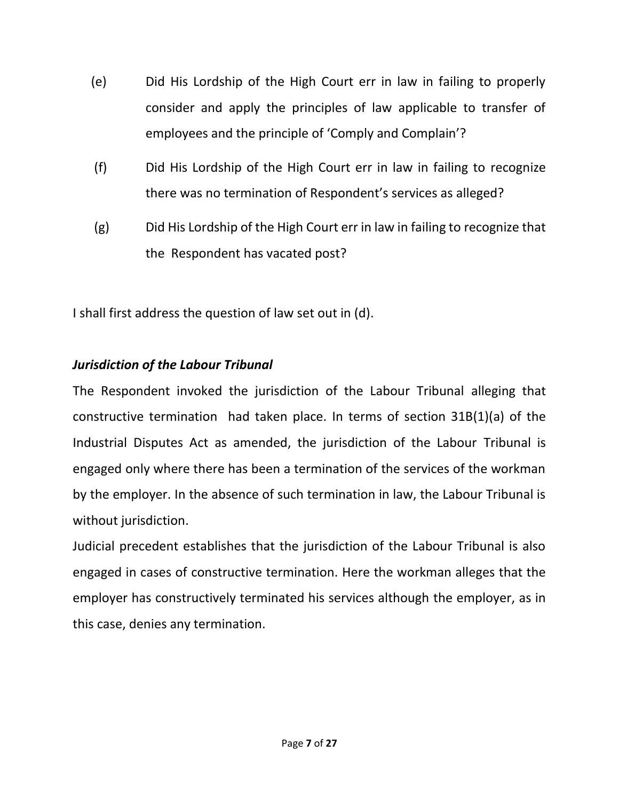- (e) Did His Lordship of the High Court err in law in failing to properly consider and apply the principles of law applicable to transfer of employees and the principle of 'Comply and Complain'?
- (f) Did His Lordship of the High Court err in law in failing to recognize there was no termination of Respondent's services as alleged?
- (g) Did His Lordship of the High Court err in law in failing to recognize that the Respondent has vacated post?

I shall first address the question of law set out in (d).

# *Jurisdiction of the Labour Tribunal*

The Respondent invoked the jurisdiction of the Labour Tribunal alleging that constructive termination had taken place. In terms of section 31B(1)(a) of the Industrial Disputes Act as amended, the jurisdiction of the Labour Tribunal is engaged only where there has been a termination of the services of the workman by the employer. In the absence of such termination in law, the Labour Tribunal is without jurisdiction.

Judicial precedent establishes that the jurisdiction of the Labour Tribunal is also engaged in cases of constructive termination. Here the workman alleges that the employer has constructively terminated his services although the employer, as in this case, denies any termination.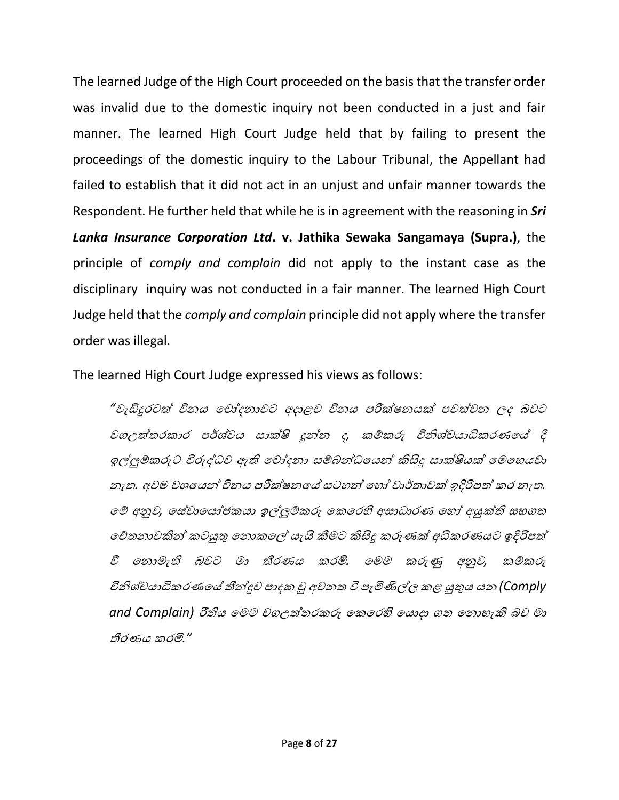The learned Judge of the High Court proceeded on the basis that the transfer order was invalid due to the domestic inquiry not been conducted in a just and fair manner. The learned High Court Judge held that by failing to present the proceedings of the domestic inquiry to the Labour Tribunal, the Appellant had failed to establish that it did not act in an unjust and unfair manner towards the Respondent. He further held that while he is in agreement with the reasoning in *Sri Lanka Insurance Corporation Ltd***. v. Jathika Sewaka Sangamaya (Supra.)**, the principle of *comply and complain* did not apply to the instant case as the disciplinary inquiry was not conducted in a fair manner. The learned High Court Judge held that the *comply and complain* principle did not apply where the transfer order was illegal.

The learned High Court Judge expressed his views as follows:

"වැඩිදුරටත් විනය චෝදනාවට අදාළව විනය පරීක්ෂනයක් පවත්වන ලද බවට වගඋත්තරකාර පර්ශ්වය සාක්ෂි දූන්න ද, කම්කරු විනිශ්චයාධිකරණයේ දී ඉල්ලුම්කරුට විරුද්ධව ඇති චෝදනා සම්බන්ධයෙන් කිසිදු සාක්ෂියක් මෙහෙයවා නැත*.* අවෙ වශචයන් විනය පරීක්ෂනචේ සටෙන් චෙෝ වාර්තාවක් ඉදිරිපත් කර නැත*.*  චම් අනුව*,* චස්වාචයෝජකයා ඉල්ලුම්කරු චකචරහි අසාධාරණ චෙෝ අයුක්ති සෙගත චේතනාවකින් කටයුතු චනාකචල්ල යැයි කීෙට කිසිදු කරුණක් අධිකරණයට ඉදිරිපත් වී චනාෙැති බවට ො තීරණය කරමි*.* චෙෙ කරුණු අනුව*,* කම්කරු විනිශ් යාධිකරණචේ තීන්දුව පාදක වු අවනත වී පැමිණිල්ලල කළ යුතුය යන *(Comply and Complain)* රීතිය චෙෙ වගඋත්තරකරු චකචරහි චයාදා ගත චනාෙැකි බව ො තීරණය කරමි*."*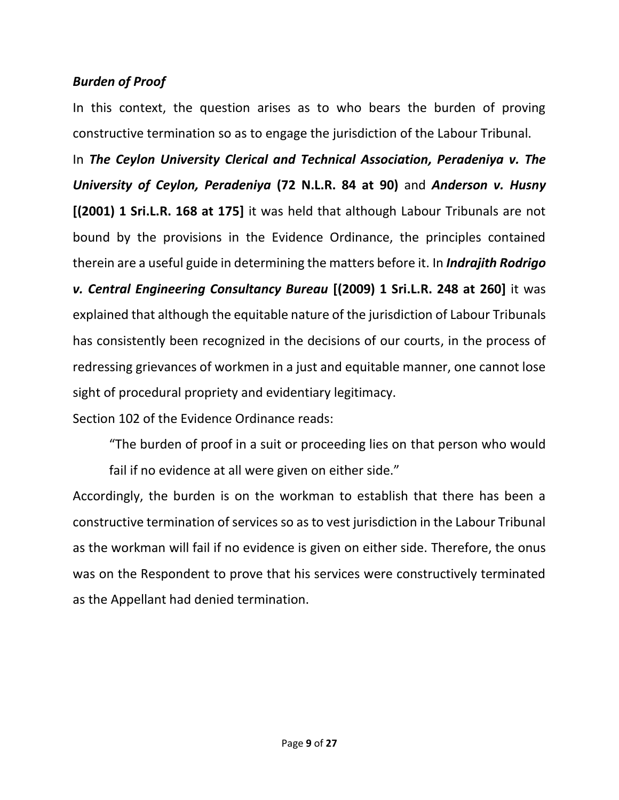## *Burden of Proof*

In this context, the question arises as to who bears the burden of proving constructive termination so as to engage the jurisdiction of the Labour Tribunal.

In *The Ceylon University Clerical and Technical Association, Peradeniya v. The University of Ceylon, Peradeniya* **(72 N.L.R. 84 at 90)** and *Anderson v. Husny* **[(2001) 1 Sri.L.R. 168 at 175]** it was held that although Labour Tribunals are not bound by the provisions in the Evidence Ordinance, the principles contained therein are a useful guide in determining the matters before it. In *Indrajith Rodrigo v. Central Engineering Consultancy Bureau* **[(2009) 1 Sri.L.R. 248 at 260]** it was explained that although the equitable nature of the jurisdiction of Labour Tribunals has consistently been recognized in the decisions of our courts, in the process of redressing grievances of workmen in a just and equitable manner, one cannot lose sight of procedural propriety and evidentiary legitimacy.

Section 102 of the Evidence Ordinance reads:

"The burden of proof in a suit or proceeding lies on that person who would fail if no evidence at all were given on either side."

Accordingly, the burden is on the workman to establish that there has been a constructive termination of services so as to vest jurisdiction in the Labour Tribunal as the workman will fail if no evidence is given on either side. Therefore, the onus was on the Respondent to prove that his services were constructively terminated as the Appellant had denied termination.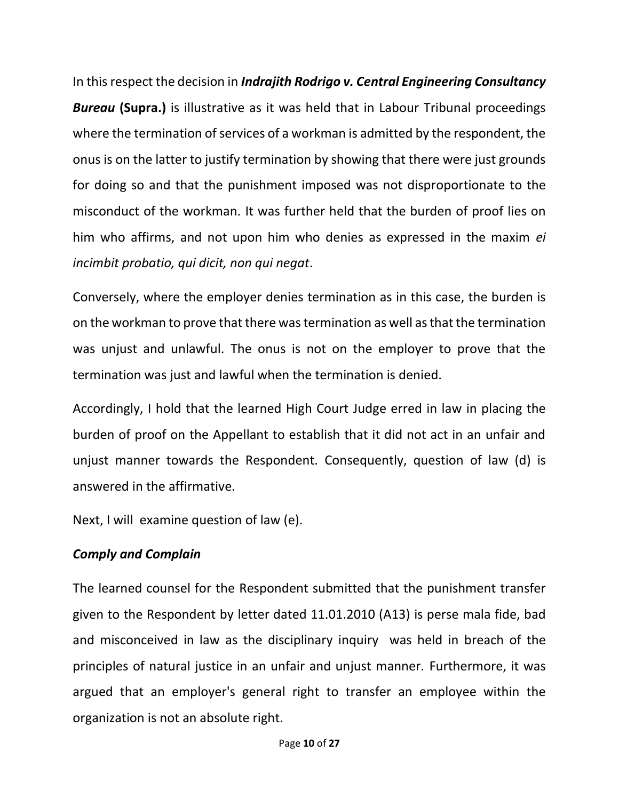In this respect the decision in *Indrajith Rodrigo v. Central Engineering Consultancy Bureau* **(Supra.)** is illustrative as it was held that in Labour Tribunal proceedings where the termination of services of a workman is admitted by the respondent, the onus is on the latter to justify termination by showing that there were just grounds for doing so and that the punishment imposed was not disproportionate to the misconduct of the workman. It was further held that the burden of proof lies on him who affirms, and not upon him who denies as expressed in the maxim *ei incimbit probatio, qui dicit, non qui negat*.

Conversely, where the employer denies termination as in this case, the burden is on the workman to prove that there was termination as well as that the termination was unjust and unlawful. The onus is not on the employer to prove that the termination was just and lawful when the termination is denied.

Accordingly, I hold that the learned High Court Judge erred in law in placing the burden of proof on the Appellant to establish that it did not act in an unfair and unjust manner towards the Respondent. Consequently, question of law (d) is answered in the affirmative.

Next, I will examine question of law (e).

### *Comply and Complain*

The learned counsel for the Respondent submitted that the punishment transfer given to the Respondent by letter dated 11.01.2010 (A13) is perse mala fide, bad and misconceived in law as the disciplinary inquiry was held in breach of the principles of natural justice in an unfair and unjust manner. Furthermore, it was argued that an employer's general right to transfer an employee within the organization is not an absolute right.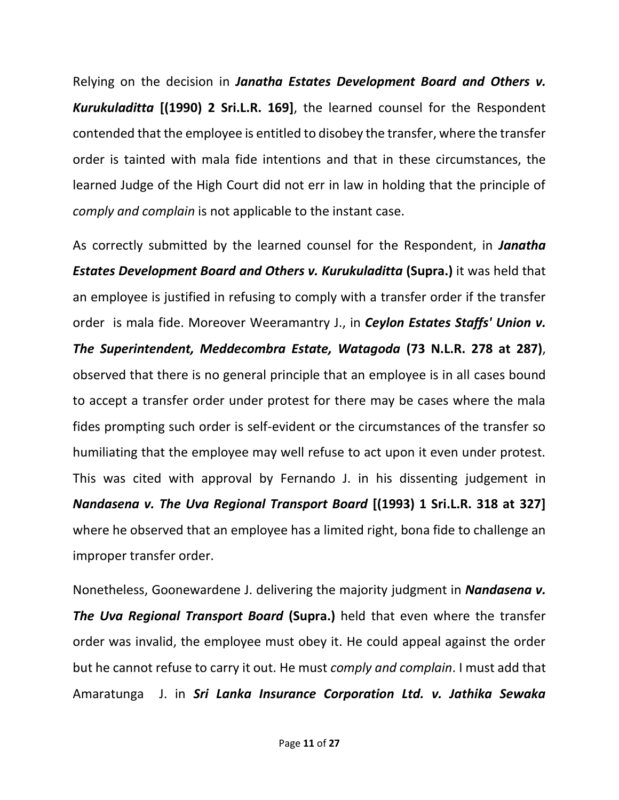Relying on the decision in *Janatha Estates Development Board and Others v. Kurukuladitta* **[(1990) 2 Sri.L.R. 169]**, the learned counsel for the Respondent contended that the employee is entitled to disobey the transfer, where the transfer order is tainted with mala fide intentions and that in these circumstances, the learned Judge of the High Court did not err in law in holding that the principle of *comply and complain* is not applicable to the instant case.

As correctly submitted by the learned counsel for the Respondent, in *Janatha Estates Development Board and Others v. Kurukuladitta* **(Supra.)** it was held that an employee is justified in refusing to comply with a transfer order if the transfer order is mala fide. Moreover Weeramantry J., in *Ceylon Estates Staffs' Union v. The Superintendent, Meddecombra Estate, Watagoda* **(73 N.L.R. 278 at 287)**, observed that there is no general principle that an employee is in all cases bound to accept a transfer order under protest for there may be cases where the mala fides prompting such order is self-evident or the circumstances of the transfer so humiliating that the employee may well refuse to act upon it even under protest. This was cited with approval by Fernando J. in his dissenting judgement in *Nandasena v. The Uva Regional Transport Board* **[(1993) 1 Sri.L.R. 318 at 327]**  where he observed that an employee has a limited right, bona fide to challenge an improper transfer order.

Nonetheless, Goonewardene J. delivering the majority judgment in *Nandasena v. The Uva Regional Transport Board* **(Supra.)** held that even where the transfer order was invalid, the employee must obey it. He could appeal against the order but he cannot refuse to carry it out. He must *comply and complain*. I must add that Amaratunga J. in *Sri Lanka Insurance Corporation Ltd. v. Jathika Sewaka*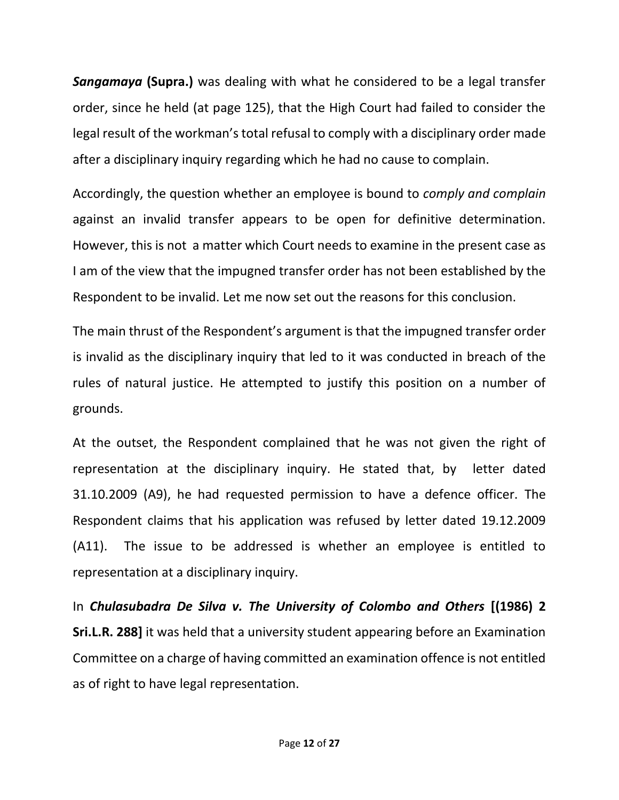*Sangamaya* **(Supra.)** was dealing with what he considered to be a legal transfer order, since he held (at page 125), that the High Court had failed to consider the legal result of the workman's total refusal to comply with a disciplinary order made after a disciplinary inquiry regarding which he had no cause to complain.

Accordingly, the question whether an employee is bound to *comply and complain* against an invalid transfer appears to be open for definitive determination. However, this is not a matter which Court needs to examine in the present case as I am of the view that the impugned transfer order has not been established by the Respondent to be invalid. Let me now set out the reasons for this conclusion.

The main thrust of the Respondent's argument is that the impugned transfer order is invalid as the disciplinary inquiry that led to it was conducted in breach of the rules of natural justice. He attempted to justify this position on a number of grounds.

At the outset, the Respondent complained that he was not given the right of representation at the disciplinary inquiry. He stated that, by letter dated 31.10.2009 (A9), he had requested permission to have a defence officer. The Respondent claims that his application was refused by letter dated 19.12.2009 (A11). The issue to be addressed is whether an employee is entitled to representation at a disciplinary inquiry.

In *Chulasubadra De Silva v. The University of Colombo and Others* **[(1986) 2 Sri.L.R. 288]** it was held that a university student appearing before an Examination Committee on a charge of having committed an examination offence is not entitled as of right to have legal representation.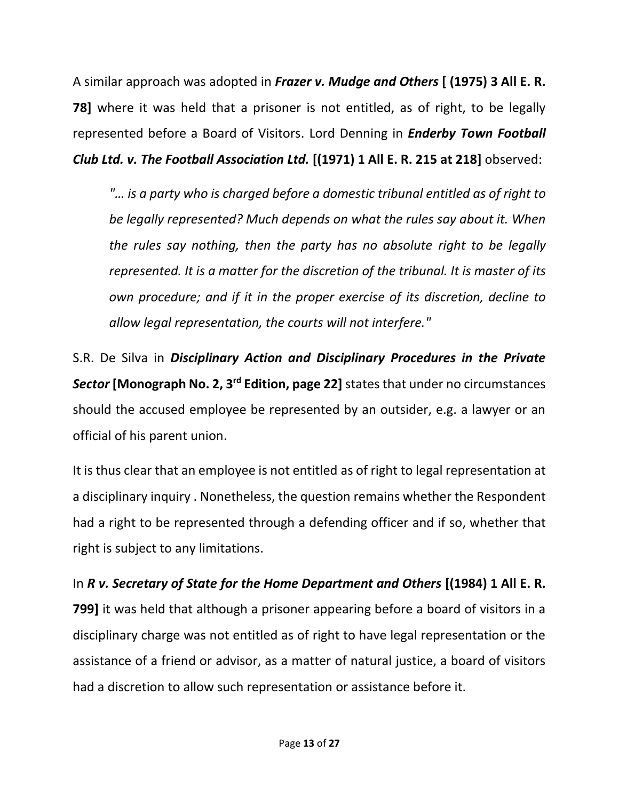A similar approach was adopted in *Frazer v. Mudge and Others* **[ (1975) 3 All E. R. 78]** where it was held that a prisoner is not entitled, as of right, to be legally represented before a Board of Visitors. Lord Denning in *Enderby Town Football Club Ltd. v. The Football Association Ltd.* **[(1971) 1 All E. R. 215 at 218]** observed:

*"… is a party who is charged before a domestic tribunal entitled as of right to be legally represented? Much depends on what the rules say about it. When the rules say nothing, then the party has no absolute right to be legally represented. It is a matter for the discretion of the tribunal. It is master of its own procedure; and if it in the proper exercise of its discretion, decline to allow legal representation, the courts will not interfere."*

S.R. De Silva in *Disciplinary Action and Disciplinary Procedures in the Private Sector* **[Monograph No. 2, 3rd Edition, page 22]** states that under no circumstances should the accused employee be represented by an outsider, e.g. a lawyer or an official of his parent union.

It is thus clear that an employee is not entitled as of right to legal representation at a disciplinary inquiry . Nonetheless, the question remains whether the Respondent had a right to be represented through a defending officer and if so, whether that right is subject to any limitations.

In *R v. Secretary of State for the Home Department and Others* **[(1984) 1 All E. R. 799]** it was held that although a prisoner appearing before a board of visitors in a disciplinary charge was not entitled as of right to have legal representation or the assistance of a friend or advisor, as a matter of natural justice, a board of visitors had a discretion to allow such representation or assistance before it.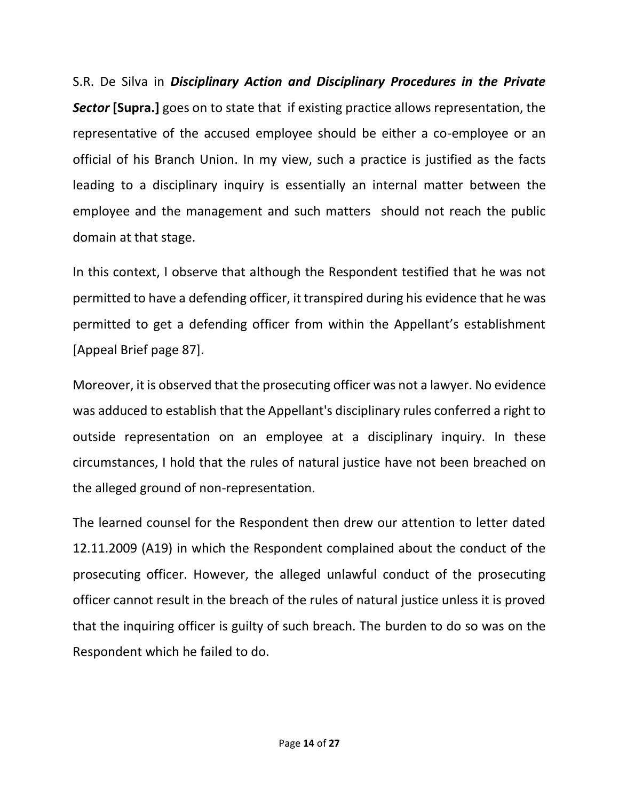S.R. De Silva in *Disciplinary Action and Disciplinary Procedures in the Private Sector* **[Supra.]** goes on to state that if existing practice allows representation, the representative of the accused employee should be either a co-employee or an official of his Branch Union. In my view, such a practice is justified as the facts leading to a disciplinary inquiry is essentially an internal matter between the employee and the management and such matters should not reach the public domain at that stage.

In this context, I observe that although the Respondent testified that he was not permitted to have a defending officer, it transpired during his evidence that he was permitted to get a defending officer from within the Appellant's establishment [Appeal Brief page 87].

Moreover, it is observed that the prosecuting officer was not a lawyer. No evidence was adduced to establish that the Appellant's disciplinary rules conferred a right to outside representation on an employee at a disciplinary inquiry. In these circumstances, I hold that the rules of natural justice have not been breached on the alleged ground of non-representation.

The learned counsel for the Respondent then drew our attention to letter dated 12.11.2009 (A19) in which the Respondent complained about the conduct of the prosecuting officer. However, the alleged unlawful conduct of the prosecuting officer cannot result in the breach of the rules of natural justice unless it is proved that the inquiring officer is guilty of such breach. The burden to do so was on the Respondent which he failed to do.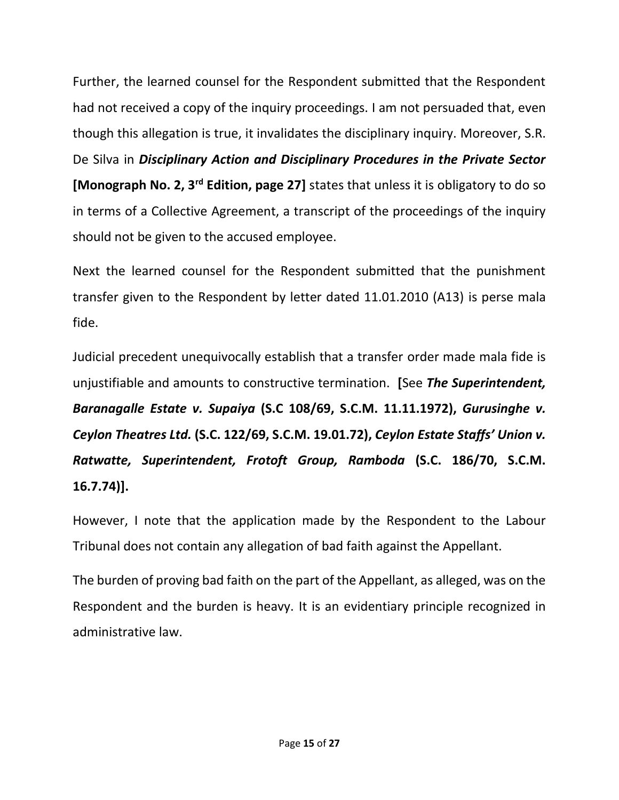Further, the learned counsel for the Respondent submitted that the Respondent had not received a copy of the inquiry proceedings. I am not persuaded that, even though this allegation is true, it invalidates the disciplinary inquiry. Moreover, S.R. De Silva in *Disciplinary Action and Disciplinary Procedures in the Private Sector* **[Monograph No. 2, 3rd Edition, page 27]** states that unless it is obligatory to do so in terms of a Collective Agreement, a transcript of the proceedings of the inquiry should not be given to the accused employee.

Next the learned counsel for the Respondent submitted that the punishment transfer given to the Respondent by letter dated 11.01.2010 (A13) is perse mala fide.

Judicial precedent unequivocally establish that a transfer order made mala fide is unjustifiable and amounts to constructive termination. **[**See *The Superintendent, Baranagalle Estate v. Supaiya* **(S.C 108/69, S.C.M. 11.11.1972),** *Gurusinghe v. Ceylon Theatres Ltd.* **(S.C. 122/69, S.C.M. 19.01.72),** *Ceylon Estate Staffs' Union v. Ratwatte, Superintendent, Frotoft Group, Ramboda* **(S.C. 186/70, S.C.M. 16.7.74)].**

However, I note that the application made by the Respondent to the Labour Tribunal does not contain any allegation of bad faith against the Appellant.

The burden of proving bad faith on the part of the Appellant, as alleged, was on the Respondent and the burden is heavy. It is an evidentiary principle recognized in administrative law.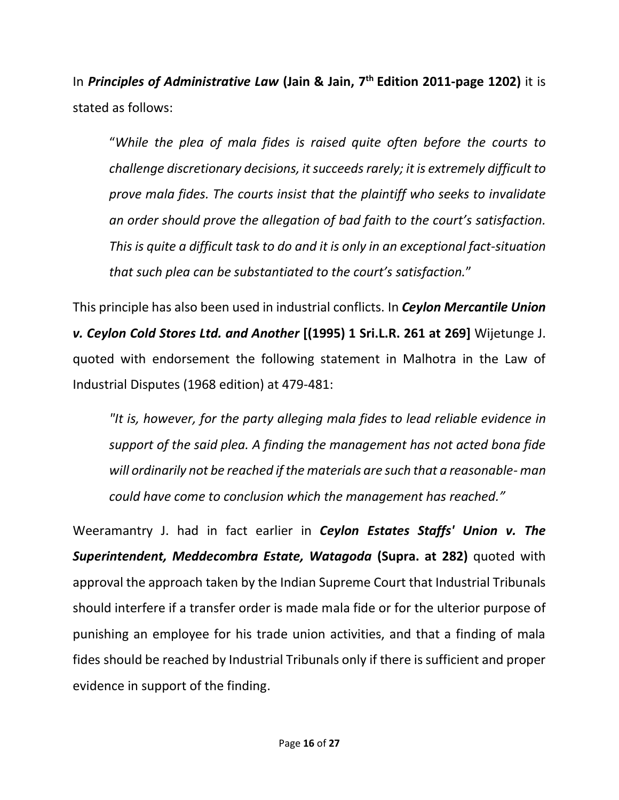In *Principles of Administrative Law* **(Jain & Jain, 7 th Edition 2011-page 1202)** it is stated as follows:

"*While the plea of mala fides is raised quite often before the courts to challenge discretionary decisions, it succeeds rarely; it is extremely difficult to prove mala fides. The courts insist that the plaintiff who seeks to invalidate an order should prove the allegation of bad faith to the court's satisfaction. This is quite a difficult task to do and it is only in an exceptional fact-situation that such plea can be substantiated to the court's satisfaction.*"

This principle has also been used in industrial conflicts. In *Ceylon Mercantile Union v. Ceylon Cold Stores Ltd. and Another* **[(1995) 1 Sri.L.R. 261 at 269]** Wijetunge J. quoted with endorsement the following statement in Malhotra in the Law of Industrial Disputes (1968 edition) at 479-481:

*"It is, however, for the party alleging mala fides to lead reliable evidence in support of the said plea. A finding the management has not acted bona fide will ordinarily not be reached if the materials are such that a reasonable- man could have come to conclusion which the management has reached."*

Weeramantry J. had in fact earlier in *Ceylon Estates Staffs' Union v. The Superintendent, Meddecombra Estate, Watagoda* **(Supra. at 282)** quoted with approval the approach taken by the Indian Supreme Court that Industrial Tribunals should interfere if a transfer order is made mala fide or for the ulterior purpose of punishing an employee for his trade union activities, and that a finding of mala fides should be reached by Industrial Tribunals only if there is sufficient and proper evidence in support of the finding.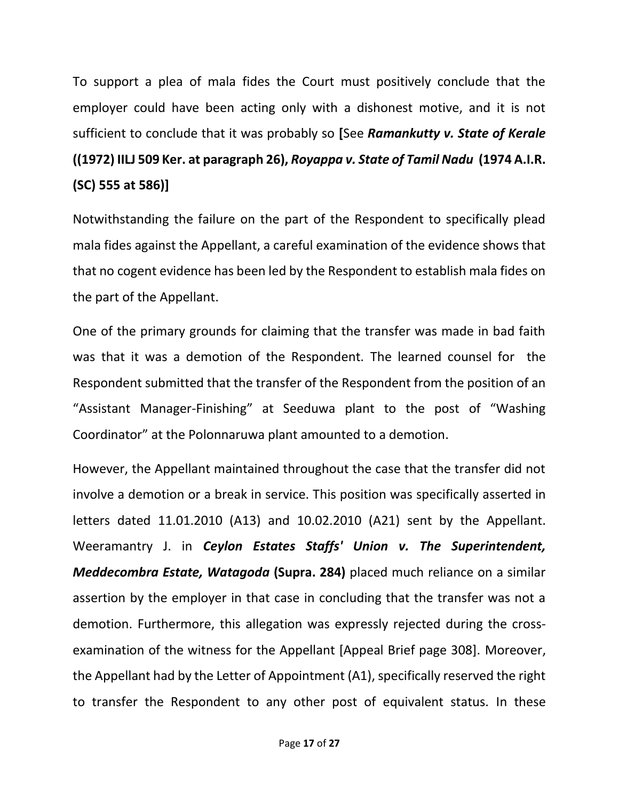To support a plea of mala fides the Court must positively conclude that the employer could have been acting only with a dishonest motive, and it is not sufficient to conclude that it was probably so **[**See *Ramankutty v. State of Kerale* **((1972) IILJ 509 Ker. at paragraph 26),** *Royappa v. State of Tamil Nadu* **(1974 A.I.R. (SC) 555 at 586)]** 

Notwithstanding the failure on the part of the Respondent to specifically plead mala fides against the Appellant, a careful examination of the evidence shows that that no cogent evidence has been led by the Respondent to establish mala fides on the part of the Appellant.

One of the primary grounds for claiming that the transfer was made in bad faith was that it was a demotion of the Respondent. The learned counsel for the Respondent submitted that the transfer of the Respondent from the position of an "Assistant Manager-Finishing" at Seeduwa plant to the post of "Washing Coordinator" at the Polonnaruwa plant amounted to a demotion.

However, the Appellant maintained throughout the case that the transfer did not involve a demotion or a break in service. This position was specifically asserted in letters dated 11.01.2010 (A13) and 10.02.2010 (A21) sent by the Appellant. Weeramantry J. in *Ceylon Estates Staffs' Union v. The Superintendent, Meddecombra Estate, Watagoda* **(Supra. 284)** placed much reliance on a similar assertion by the employer in that case in concluding that the transfer was not a demotion. Furthermore, this allegation was expressly rejected during the crossexamination of the witness for the Appellant [Appeal Brief page 308]. Moreover, the Appellant had by the Letter of Appointment (A1), specifically reserved the right to transfer the Respondent to any other post of equivalent status. In these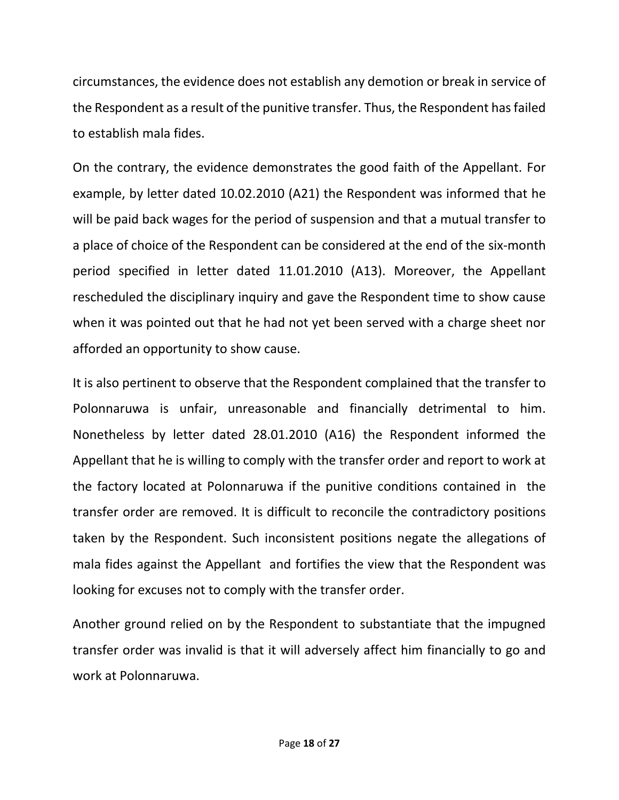circumstances, the evidence does not establish any demotion or break in service of the Respondent as a result of the punitive transfer. Thus, the Respondent has failed to establish mala fides.

On the contrary, the evidence demonstrates the good faith of the Appellant. For example, by letter dated 10.02.2010 (A21) the Respondent was informed that he will be paid back wages for the period of suspension and that a mutual transfer to a place of choice of the Respondent can be considered at the end of the six-month period specified in letter dated 11.01.2010 (A13). Moreover, the Appellant rescheduled the disciplinary inquiry and gave the Respondent time to show cause when it was pointed out that he had not yet been served with a charge sheet nor afforded an opportunity to show cause.

It is also pertinent to observe that the Respondent complained that the transfer to Polonnaruwa is unfair, unreasonable and financially detrimental to him. Nonetheless by letter dated 28.01.2010 (A16) the Respondent informed the Appellant that he is willing to comply with the transfer order and report to work at the factory located at Polonnaruwa if the punitive conditions contained in the transfer order are removed. It is difficult to reconcile the contradictory positions taken by the Respondent. Such inconsistent positions negate the allegations of mala fides against the Appellant and fortifies the view that the Respondent was looking for excuses not to comply with the transfer order.

Another ground relied on by the Respondent to substantiate that the impugned transfer order was invalid is that it will adversely affect him financially to go and work at Polonnaruwa.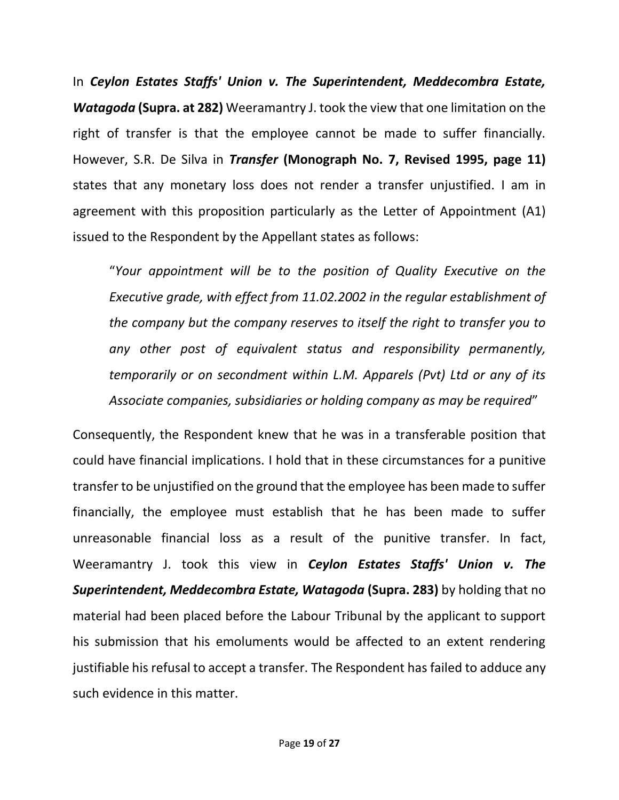In *Ceylon Estates Staffs' Union v. The Superintendent, Meddecombra Estate, Watagoda* **(Supra. at 282)** Weeramantry J. took the view that one limitation on the right of transfer is that the employee cannot be made to suffer financially. However, S.R. De Silva in *Transfer* **(Monograph No. 7, Revised 1995, page 11)** states that any monetary loss does not render a transfer unjustified. I am in agreement with this proposition particularly as the Letter of Appointment (A1) issued to the Respondent by the Appellant states as follows:

"*Your appointment will be to the position of Quality Executive on the Executive grade, with effect from 11.02.2002 in the regular establishment of the company but the company reserves to itself the right to transfer you to any other post of equivalent status and responsibility permanently, temporarily or on secondment within L.M. Apparels (Pvt) Ltd or any of its Associate companies, subsidiaries or holding company as may be required*"

Consequently, the Respondent knew that he was in a transferable position that could have financial implications. I hold that in these circumstances for a punitive transfer to be unjustified on the ground that the employee has been made to suffer financially, the employee must establish that he has been made to suffer unreasonable financial loss as a result of the punitive transfer. In fact, Weeramantry J. took this view in *Ceylon Estates Staffs' Union v. The Superintendent, Meddecombra Estate, Watagoda* **(Supra. 283)** by holding that no material had been placed before the Labour Tribunal by the applicant to support his submission that his emoluments would be affected to an extent rendering justifiable his refusal to accept a transfer. The Respondent has failed to adduce any such evidence in this matter.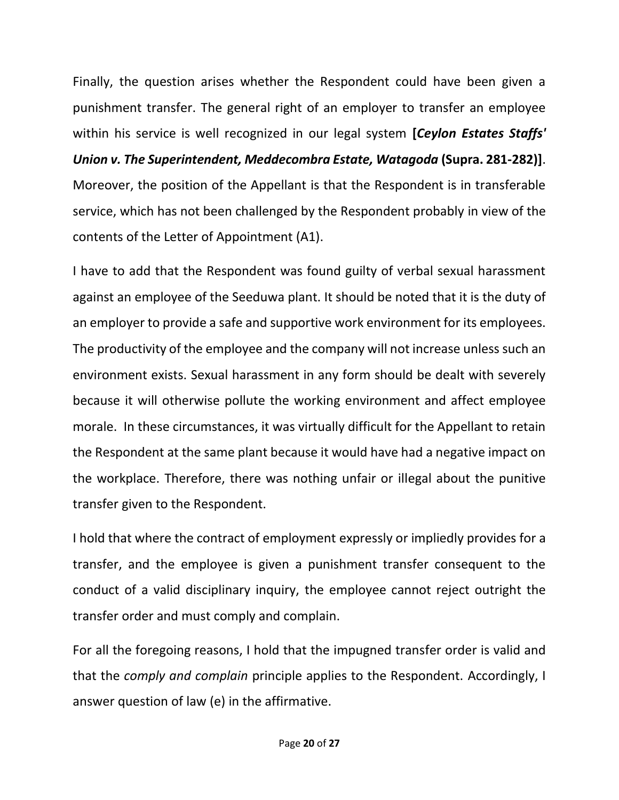Finally, the question arises whether the Respondent could have been given a punishment transfer. The general right of an employer to transfer an employee within his service is well recognized in our legal system **[***Ceylon Estates Staffs' Union v. The Superintendent, Meddecombra Estate, Watagoda* **(Supra. 281-282)]**. Moreover, the position of the Appellant is that the Respondent is in transferable service, which has not been challenged by the Respondent probably in view of the contents of the Letter of Appointment (A1).

I have to add that the Respondent was found guilty of verbal sexual harassment against an employee of the Seeduwa plant. It should be noted that it is the duty of an employer to provide a safe and supportive work environment for its employees. The productivity of the employee and the company will not increase unless such an environment exists. Sexual harassment in any form should be dealt with severely because it will otherwise pollute the working environment and affect employee morale. In these circumstances, it was virtually difficult for the Appellant to retain the Respondent at the same plant because it would have had a negative impact on the workplace. Therefore, there was nothing unfair or illegal about the punitive transfer given to the Respondent.

I hold that where the contract of employment expressly or impliedly provides for a transfer, and the employee is given a punishment transfer consequent to the conduct of a valid disciplinary inquiry, the employee cannot reject outright the transfer order and must comply and complain.

For all the foregoing reasons, I hold that the impugned transfer order is valid and that the *comply and complain* principle applies to the Respondent. Accordingly, I answer question of law (e) in the affirmative.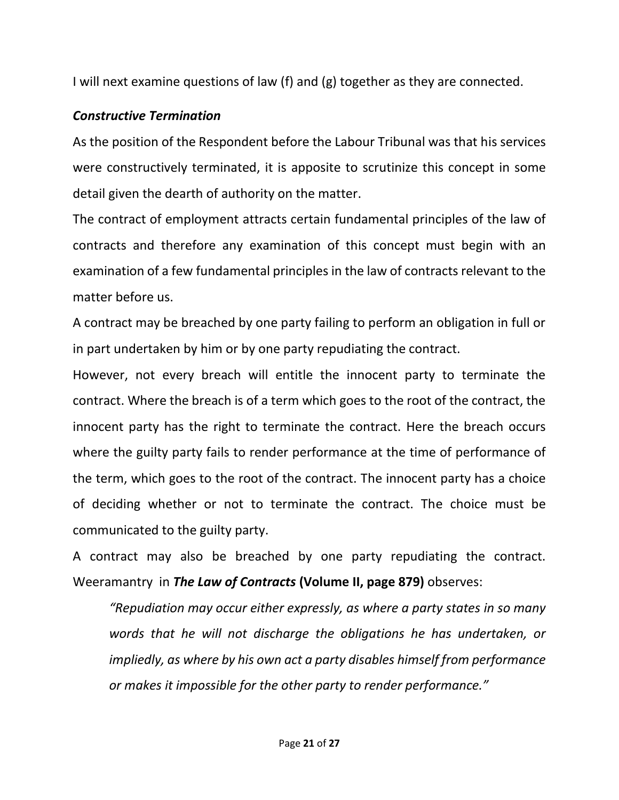I will next examine questions of law (f) and (g) together as they are connected.

## *Constructive Termination*

As the position of the Respondent before the Labour Tribunal was that his services were constructively terminated, it is apposite to scrutinize this concept in some detail given the dearth of authority on the matter.

The contract of employment attracts certain fundamental principles of the law of contracts and therefore any examination of this concept must begin with an examination of a few fundamental principles in the law of contracts relevant to the matter before us.

A contract may be breached by one party failing to perform an obligation in full or in part undertaken by him or by one party repudiating the contract.

However, not every breach will entitle the innocent party to terminate the contract. Where the breach is of a term which goes to the root of the contract, the innocent party has the right to terminate the contract. Here the breach occurs where the guilty party fails to render performance at the time of performance of the term, which goes to the root of the contract. The innocent party has a choice of deciding whether or not to terminate the contract. The choice must be communicated to the guilty party.

A contract may also be breached by one party repudiating the contract. Weeramantry in *The Law of Contracts* **(Volume II, page 879)** observes:

*"Repudiation may occur either expressly, as where a party states in so many words that he will not discharge the obligations he has undertaken, or impliedly, as where by his own act a party disables himself from performance or makes it impossible for the other party to render performance."*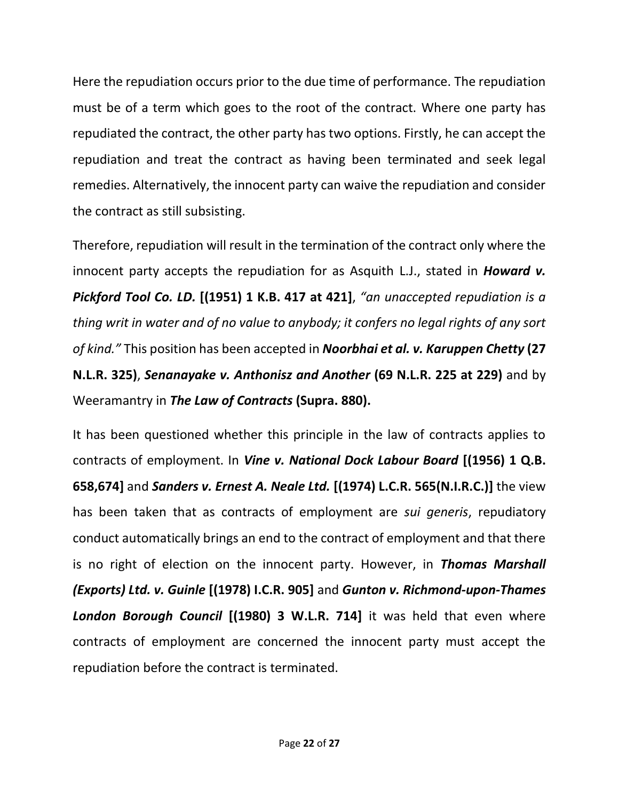Here the repudiation occurs prior to the due time of performance. The repudiation must be of a term which goes to the root of the contract. Where one party has repudiated the contract, the other party has two options. Firstly, he can accept the repudiation and treat the contract as having been terminated and seek legal remedies. Alternatively, the innocent party can waive the repudiation and consider the contract as still subsisting.

Therefore, repudiation will result in the termination of the contract only where the innocent party accepts the repudiation for as Asquith L.J., stated in *Howard v. Pickford Tool Co. LD.* **[(1951) 1 K.B. 417 at 421]**, *"an unaccepted repudiation is a thing writ in water and of no value to anybody; it confers no legal rights of any sort of kind."* This position has been accepted in *Noorbhai et al. v. Karuppen Chetty* **(27 N.L.R. 325)**, *Senanayake v. Anthonisz and Another* **(69 N.L.R. 225 at 229)** and by Weeramantry in *The Law of Contracts* **(Supra. 880).**

It has been questioned whether this principle in the law of contracts applies to contracts of employment. In *Vine v. National Dock Labour Board* **[(1956) 1 Q.B. 658,674]** and *Sanders v. Ernest A. Neale Ltd.* **[(1974) L.C.R. 565(N.I.R.C.)]** the view has been taken that as contracts of employment are *sui generis*, repudiatory conduct automatically brings an end to the contract of employment and that there is no right of election on the innocent party. However, in *Thomas Marshall (Exports) Ltd. v. Guinle* **[(1978) I.C.R. 905]** and *Gunton v. Richmond-upon-Thames London Borough Council* **[(1980) 3 W.L.R. 714]** it was held that even where contracts of employment are concerned the innocent party must accept the repudiation before the contract is terminated.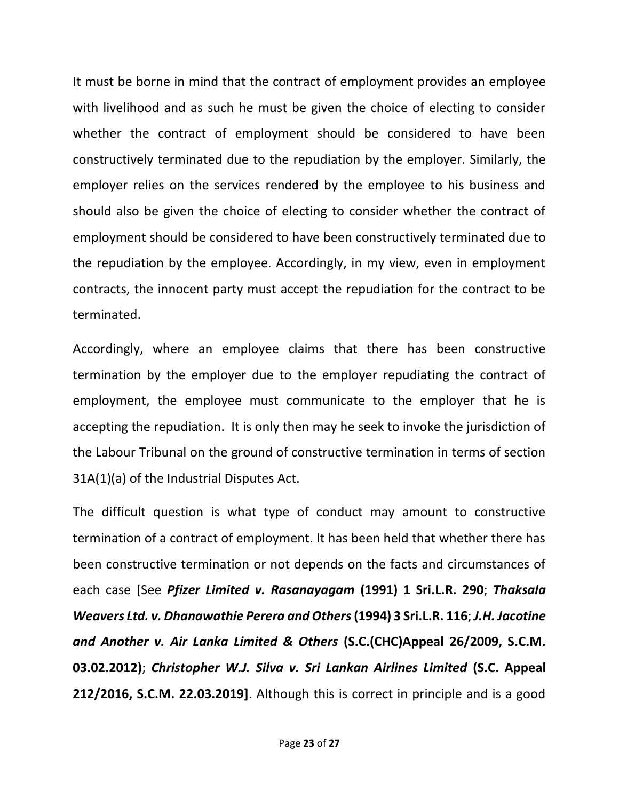It must be borne in mind that the contract of employment provides an employee with livelihood and as such he must be given the choice of electing to consider whether the contract of employment should be considered to have been constructively terminated due to the repudiation by the employer. Similarly, the employer relies on the services rendered by the employee to his business and should also be given the choice of electing to consider whether the contract of employment should be considered to have been constructively terminated due to the repudiation by the employee. Accordingly, in my view, even in employment contracts, the innocent party must accept the repudiation for the contract to be terminated.

Accordingly, where an employee claims that there has been constructive termination by the employer due to the employer repudiating the contract of employment, the employee must communicate to the employer that he is accepting the repudiation. It is only then may he seek to invoke the jurisdiction of the Labour Tribunal on the ground of constructive termination in terms of section 31A(1)(a) of the Industrial Disputes Act.

The difficult question is what type of conduct may amount to constructive termination of a contract of employment. It has been held that whether there has been constructive termination or not depends on the facts and circumstances of each case [See *Pfizer Limited v. Rasanayagam* **(1991) 1 Sri.L.R. 290**; *Thaksala Weavers Ltd. v. Dhanawathie Perera and Others***(1994) 3 Sri.L.R. 116**; *J.H. Jacotine and Another v. Air Lanka Limited & Others* **(S.C.(CHC)Appeal 26/2009, S.C.M. 03.02.2012)**; *Christopher W.J. Silva v. Sri Lankan Airlines Limited* **(S.C. Appeal 212/2016, S.C.M. 22.03.2019]**. Although this is correct in principle and is a good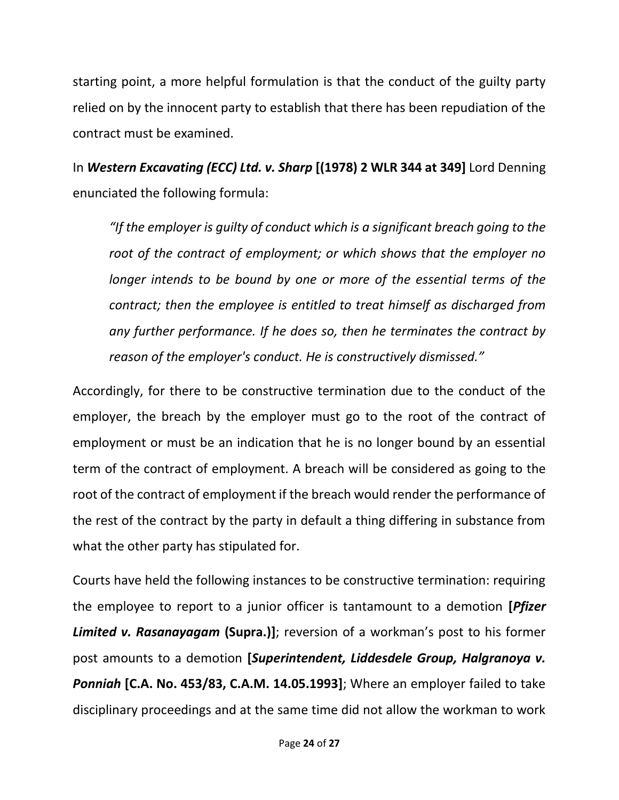starting point, a more helpful formulation is that the conduct of the guilty party relied on by the innocent party to establish that there has been repudiation of the contract must be examined.

In *Western Excavating (ECC) Ltd. v. Sharp* **[(1978) 2 WLR 344 at 349]** Lord Denning enunciated the following formula:

*"If the employer is guilty of conduct which is a significant breach going to the root of the contract of employment; or which shows that the employer no longer intends to be bound by one or more of the essential terms of the contract; then the employee is entitled to treat himself as discharged from any further performance. If he does so, then he terminates the contract by reason of the employer's conduct. He is constructively dismissed."* 

Accordingly, for there to be constructive termination due to the conduct of the employer, the breach by the employer must go to the root of the contract of employment or must be an indication that he is no longer bound by an essential term of the contract of employment. A breach will be considered as going to the root of the contract of employment if the breach would render the performance of the rest of the contract by the party in default a thing differing in substance from what the other party has stipulated for.

Courts have held the following instances to be constructive termination: requiring the employee to report to a junior officer is tantamount to a demotion **[***Pfizer Limited v. Rasanayagam* **(Supra.)]**; reversion of a workman's post to his former post amounts to a demotion **[***Superintendent, Liddesdele Group, Halgranoya v. Ponniah* **[C.A. No. 453/83, C.A.M. 14.05.1993]**; Where an employer failed to take disciplinary proceedings and at the same time did not allow the workman to work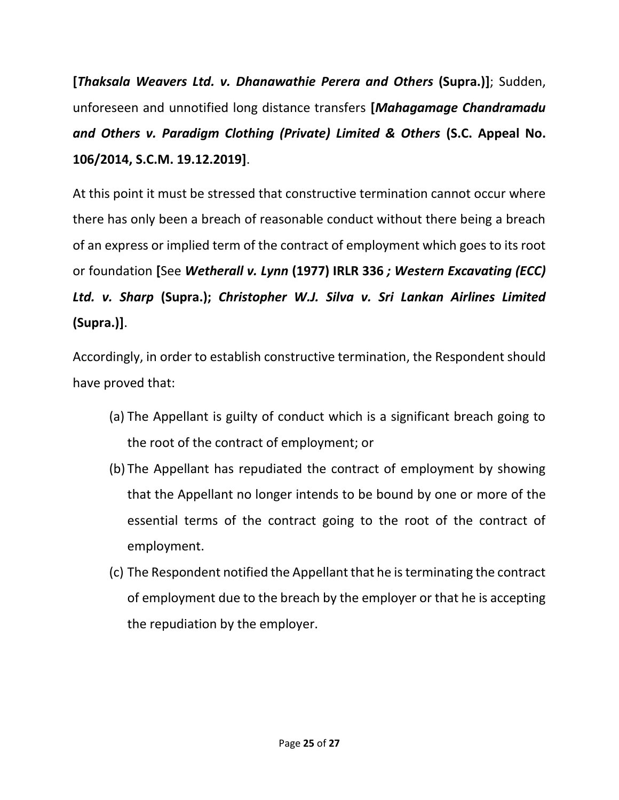**[***Thaksala Weavers Ltd. v. Dhanawathie Perera and Others* **(Supra.)]**; Sudden, unforeseen and unnotified long distance transfers **[***Mahagamage Chandramadu and Others v. Paradigm Clothing (Private) Limited & Others* **(S.C. Appeal No. 106/2014, S.C.M. 19.12.2019]**.

At this point it must be stressed that constructive termination cannot occur where there has only been a breach of reasonable conduct without there being a breach of an express or implied term of the contract of employment which goes to its root or foundation **[**See *Wetherall v. Lynn* **(1977) IRLR 336** *; Western Excavating (ECC) Ltd. v. Sharp* **(Supra.);** *Christopher W.J. Silva v. Sri Lankan Airlines Limited* **(Supra.)]**.

Accordingly, in order to establish constructive termination, the Respondent should have proved that:

- (a) The Appellant is guilty of conduct which is a significant breach going to the root of the contract of employment; or
- (b) The Appellant has repudiated the contract of employment by showing that the Appellant no longer intends to be bound by one or more of the essential terms of the contract going to the root of the contract of employment.
- (c) The Respondent notified the Appellant that he is terminating the contract of employment due to the breach by the employer or that he is accepting the repudiation by the employer.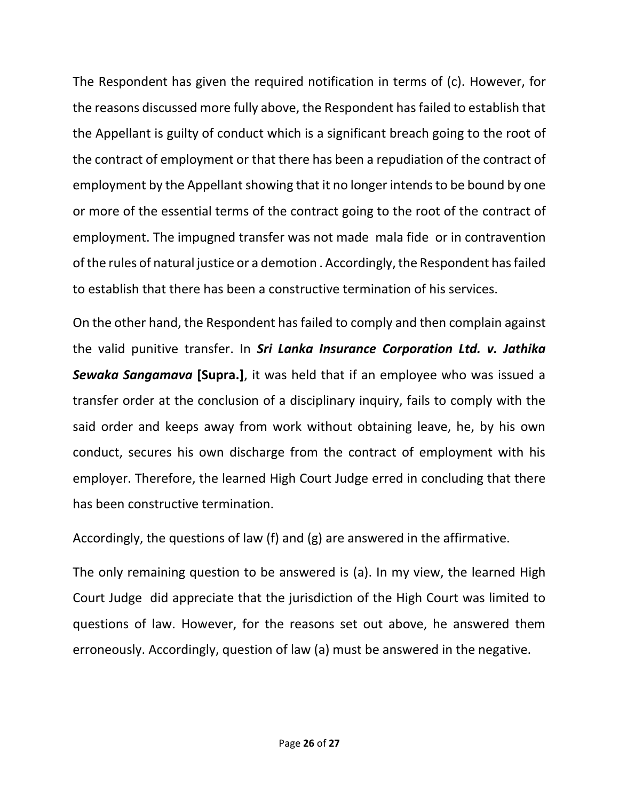The Respondent has given the required notification in terms of (c). However, for the reasons discussed more fully above, the Respondent has failed to establish that the Appellant is guilty of conduct which is a significant breach going to the root of the contract of employment or that there has been a repudiation of the contract of employment by the Appellant showing that it no longer intends to be bound by one or more of the essential terms of the contract going to the root of the contract of employment. The impugned transfer was not made mala fide or in contravention of the rules of natural justice or a demotion . Accordingly, the Respondent has failed to establish that there has been a constructive termination of his services.

On the other hand, the Respondent has failed to comply and then complain against the valid punitive transfer. In *Sri Lanka Insurance Corporation Ltd. v. Jathika Sewaka Sangamava* **[Supra.]**, it was held that if an employee who was issued a transfer order at the conclusion of a disciplinary inquiry, fails to comply with the said order and keeps away from work without obtaining leave, he, by his own conduct, secures his own discharge from the contract of employment with his employer. Therefore, the learned High Court Judge erred in concluding that there has been constructive termination.

Accordingly, the questions of law (f) and (g) are answered in the affirmative.

The only remaining question to be answered is (a). In my view, the learned High Court Judge did appreciate that the jurisdiction of the High Court was limited to questions of law. However, for the reasons set out above, he answered them erroneously. Accordingly, question of law (a) must be answered in the negative.